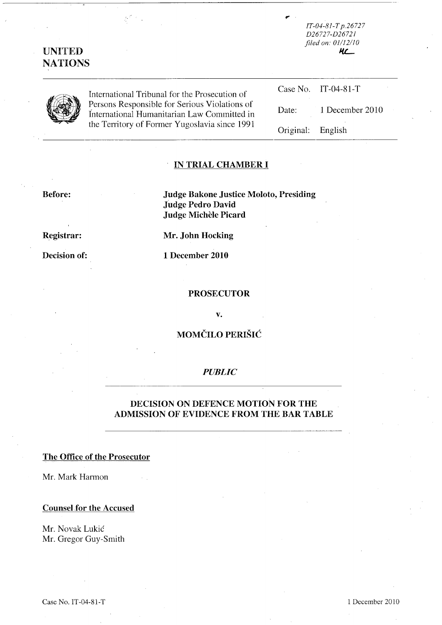| <b>UNITED</b><br><b>NATIONS</b> |                                                                                                                                               | $IT-04-81-Tp.26727$<br>D <sub>26727</sub> -D <sub>26721</sub><br>filed on: 01/12/10<br>HL_ |                     |
|---------------------------------|-----------------------------------------------------------------------------------------------------------------------------------------------|--------------------------------------------------------------------------------------------|---------------------|
|                                 | International Tribunal for the Prosecution of                                                                                                 |                                                                                            | Case No. IT-04-81-T |
|                                 | Persons Responsible for Serious Violations of<br>International Humanitarian Law Committed in<br>the Territory of Former Yugoslavia since 1991 | Date:                                                                                      | 1 December 2010     |
|                                 |                                                                                                                                               | Original:                                                                                  | English             |

75

## **IN TRIAL CHAMBER I**

**Before: Judge Bakone Justice Moloto, Presiding Judge Pedro David Judge Michele Picard** 

**Registrar: Mr. John Hocking** 

**Decision of: 1 December 2010** 

#### **PROSECUTOR**

**v.** 

# **MOMČILO PERIŠIĆ**

### *PUBLIC*

## **DECISION ON DEFENCE MOTION FOR THE ADMISSION OF EVIDENCE FROM THE BAR TABLE**

#### **The Office of the Prosecutor**

Mr. Mark Harmon

#### **Counsel for the Accused**

Mr. Novak Lukic Mr. Gregor Guy-Smith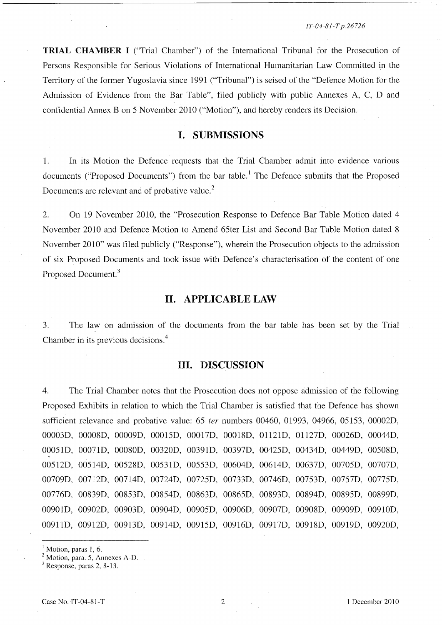*/T-04-8/- T p.26726* 

**TRIAL CHAMBER** I ("Trial Chamber") of the International Tribunal for the Prosecution of Persons Responsible for Serious Violations of International Humanitarian Law Committed in the Territory of the former Yugoslavia since 1991 ("Tribunal") is seised of the "Defence Motion for the Admission of Evidence from the Bar Table", filed publicly with public Annexes A, C, D and confidential Annex B on 5 November 2010 ("Motion"), and hereby renders its Decision.

## **I. SUBMISSIONS**

1. In its Motion the Defence requests that the Trial Chamber admit into evidence various documents ("Proposed Documents") from the bar table.<sup>1</sup> The Defence submits that the Proposed Documents are relevant and of probative value.<sup>2</sup>

2. On 19 November 2010, the "Prosecution Response to Defence Bar Table Motion dated 4 November 2010 and Defence Motion to Amend 65ter List and Second Bar Table Motion dated 8 November 2010" was filed publicly ("Response"), wherein the Prosecution objects to the admission of six Proposed Documents and took issue with Defence's characterisation of the content of one Proposed Document.<sup>3</sup>

## **II. APPLICABLE LAW**

3. The law on admission of the documents from the bar table has been set by the Trial Chamber in its previous decisions.<sup>4</sup>

### **Ill. DISCUSSION**

4. The Trial Chamber notes that the Prosecution does not oppose admission of the following Proposed Exhibits in relation to which the Trial Chamber is satisfied that the Defence has shown sufficient relevance and probative value: 65 *ter* numbers 00460, 01993, 04966, 05153, 00002D, 00003D, 00008D, 00009D, 00015D, 00017D, 00018D, 01121D, 01127D, 00026D, 00044D, 00051D, 00071D, 00080D, 00320D, 00391D, 00397D, 00425D, 00434D, 00449D, 00508D, 00512D, 00514D, 00528D, 00531D, 00553D, 00604D, 00614D, 00637D, 00705D, 00707D, 00709D, 00712D, 00714D, 00724D, 00725D, 00733D, 00746D, 00753D, 00757D, 00775D, 00776D, 00839D, 00853D, 00854D, 00863D, 00865D, 00893D, 00894D, 00895D, 00899D, 00901D, 00902D, 00903D, 00904D, 00905D, 00906D, 00907D, 00908D, 00909D, 0091OD, 00911D, 00912D, 00913D, 00914D, 00915D, 00916D, 00917D, 00918D, 00919D, 00920D,

Motion, paras 1, 6.

2 Motion, para. 5, Annexes A-D.

Response, paras 2, 8-13.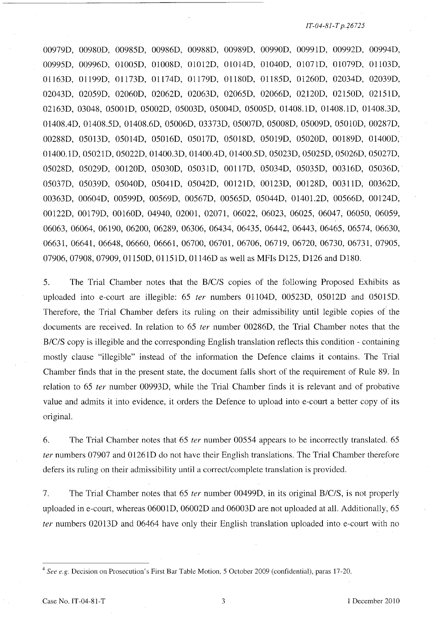#### *IT-04-BJ-T p.26725*

00979D, 00980D, *0098SD,* 00986D, 00988D, 00989D, 00990D, 00991D, 00992D, 00994D, *0099SD,* 00996D, OlOOSD, 01008D, 01012D, 01014D, 01040D, 0107 ID, 0l079D, 01103D, 01163D, 01199D, 01173D, 01174D, 01I79D, 01180D, 0118SD, 01260D, 02034D, 02039D, 02043D, *020S9D,* 02060D, 02062D, 02063D, *0206SD,* 02066D, 02120D, *021S0D, 021S1D,*  02163D, 03048, OSOOID, *OS002D, OS003D, OS004D, OSOOSD,* 01408.1D, 01408.1D, 0l408.3D, 01408.4D, *01408.SD,* 01408.6D, *OS006D,* 03373D, *OS007D, OS008D, OS009D,* OSOlOD, 00287D, 00288D, *OS013D,* OS0l4D, *OS016D, OS017D, OS018D, OS019D, OS020D,* 00189D, 01400D, 01400.1D, *OS021D, OS022D,* 01400.3D, 0l400.4D, *01400.SD, OS023D, OS02SD, OS026D, OS027D, OS028D, OS029D,* 00120D, *OS030D, OS031D,* 00117D, *OS034D, OS03SD,* 00316D, *OS036D, OS037D, OS039D, OS040D, OS041D, OS042D,* 00121D, 00123D, 00128D, 00311D, 00362D, 00363D, 00604D, *00S99D, 00S69D, 00S67D, 00S6SD, OS044D,* 01401.2D, *00S66D,* 00124D, 00122D, 00179D, 00160D, 04940, 02001, 02071, 06022, 06023, *0602S,* 06047, *060S0, 060S9,*  06063, 06064, 06190, 06200, 06289, 06306, 06434, *0643S,* 06442, 06443, *0646S, 06S74, 06630,*  06631, 06641, 06648, 06660, 06661, 06700, 06701, 06706, 06719, 06720, 06730, 06731, *0790S,*  07906,07908,07909, 011S0D, 011S1D, 01146D as well as MFIs *D12S,* D126 and D180.

*S.* The Trial Chamber notes that the *BICIS* copies of the following Proposed Exhibits as up loaded into e-court are illegible: *6S ter* numbers 01104D, *00S23D, OS012D* and *OS01SD.*  Therefore, the Trial Chamber defers its ruling on their admissibility until legible copies of the documents are received. **In** relation to *6S ter* number 00286D, the Trial Chamber notes that the *B/C/S* copy is illegible and the corresponding English translation reflects this condition - containing mostly clause "illegible" instead of the information the Defence claims it contains. The Trial Chamber finds that in the present state, the document falls short of the requirement of Rule 89. **In**  relation to *6S ter* number 00993D, while the Trial Chamber finds it is relevant and of probative value and admits it into evidence, it orders the Defence to upload into e-court a better copy of its original.

6. The Trial Chamber notes that *6S ter* number *00SS4* appears to be incorrectly translated. *6S ter* numbers 07907 and 01261D do not have their English translations. The Trial Chamber therefore defers its ruling on their admissibility until a correct/complete translation is provided.

7. The Trial Chamber notes that *6S ter* number 00499D, in its original *B/c/S,* is not properly uploaded in e-court, whereas 06001D, 06002D and 06003D are not uploaded at all. Additionally, *6S ter* numbers 02013D and 06464 have only their English translation uploaded into e-court with no

<sup>&</sup>lt;sup>4</sup> See e.g. Decision on Prosecution's First Bar Table Motion, 5 October 2009 (confidential), paras 17-20.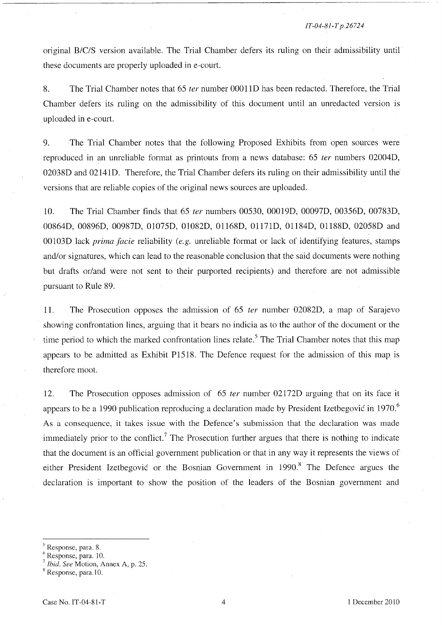original B/C/S version available. The Trial Chamber defers its ruling on their admissibility until these documents are properly uploaded in e-court.

8. The Trial Chamber notes that 65 *ter* number 00011D has been redacted. Therefore, the Trial Chamber defers its ruling on the admissibility of this document until an unredacted version is uploaded in e-court.

9. The Trial Chamber notes that the following Proposed Exhibits from open sources were reproduced in an unreliable fonnat as printouts from a news database: 65 *ter* numbers 02004D, 02038D and 02141D. Therefore, the Trial Chamber defers its ruling on their admissibility until the versions that are reliable copies of the original news sources are uploaded.

10. The Trial Chamber finds that 65 *ter* numbers 00530, 00019D, 00097D, 00356D, 00783D, 00864D, 00896D, 00987D, 01075D, 01082D, 01168D, 01171D, 01184D, 01188D, 02058D and OOl03D lack *prima facie* reliability *(e.g.* unreliable fonnat or lack of identifying features, stamps and/or signatures, which can lead to the reasonable conclusion that the said documents were nothing but drafts or/and were not sent to their purported recipients) and therefore are not admissible pursuant to Rule 89.

11. The Prosecution opposes the admission of 65 *ter* number 02082D, a map of Sarajevo showing confrontation lines, arguing that it bears no indicia as to the author of the document or the time period to which the marked confrontation lines relate.<sup>5</sup> The Trial Chamber notes that this map appears to be admitted as Exhibit P1518. The Defence request for the admission of this map is therefore moot.

12. The Prosecution opposes admission of 65 *ter* number 02172D arguing that on its face it appears to be a 1990 publication reproducing a declaration made by President Izetbegović in 1970.<sup>6</sup> As a consequence, it takes issue with the Defence's submission that the declaration was made immediately prior to the conflict.<sup>7</sup> The Prosecution further argues that there is nothing to indicate that the document is an official government publication or that in any way it represents the views of either President Izetbegovic or the Bosnian Government in  $1990$ .<sup>8</sup> The Defence argues the declaration is important to show the position of the leaders of the Bosnian government and

<sup>5</sup> Response, para. 8.

 $<sup>6</sup>$  Response, para. 10.</sup>

*Ibid. See Motion, Annex A, p. 25.* 

<sup>8</sup> Response, para. 10.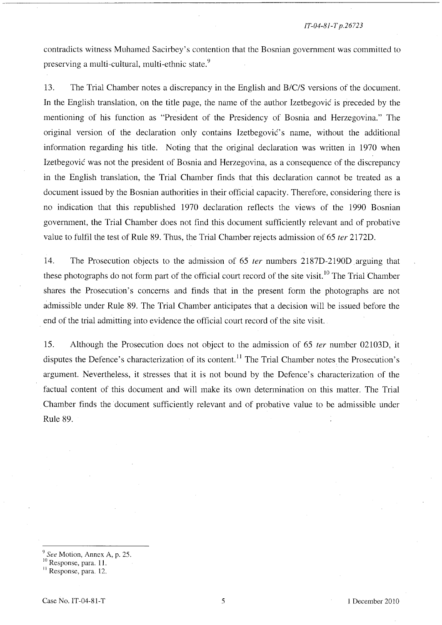#### *IT-04-81-T p.26723*

contradicts witness Muhamed Sacirbey's contention that the Bosnian government was committed to preserving a multi-cultural, multi-ethnic state.<sup>9</sup>

13. The Trial Chamber notes a discrepancy in the English and *B/CIS* versions of the document. In the English translation, on the title page, the name of the author Izetbegovic is preceded by the mentioning of his function as "President of the Presidency of Bosnia and Herzegovina." The original version of the declaration only contains Izetbegovic's name, without the additional information regarding his title. Noting that the original declaration was written in 1970 when Izetbegovic was not the president of Bosnia and Herzegovina, as a consequence of the discrepancy in the English translation, the Trial Chamber finds that this declaration cannot be treated as a document issued by the Bosnian authorities in their official capacity. Therefore, considering there is no indication that this republished 1970 declaration reflects the views of the 1990 Bosnian government, the Trial Chamber does not find this document sufficiently relevant and of probative value to fulfil the test of Rule 89. Thus, the Trial Chamber rejects admission of 65 *ter* 2172D.

14. The Prosecution objects to the admission of 65 *ter* numbers 2187D-2190D arguing that these photographs do not form part of the official court record of the site visit.<sup>10</sup> The Trial Chamber shares the Prosecution's concerns and finds that in the present fonn the photographs are not admissible under Rule 89. The Trial Chamber anticipates that a decision will be issued before the end of the trial admitting into evidence the official court record of the site visit.

15. Although the Prosecution does not object to the admission of 65 *ter* number 02103D, it disputes the Defence's characterization of its content.<sup>11</sup> The Trial Chamber notes the Prosecution's argument. Nevertheless, it stresses that it is not bound by the Defence's characterization of the factual content of this document and will make its own determination on this matter. The Trial Chamber finds the document sufficiently relevant and of probative value to be admissible under Rule 89.

*<sup>9</sup> See* Motion, Annex A, p. 25.

<sup>&</sup>lt;sup>10</sup> Response, para. 11.

<sup>&</sup>lt;sup>11</sup> Response, para. 12.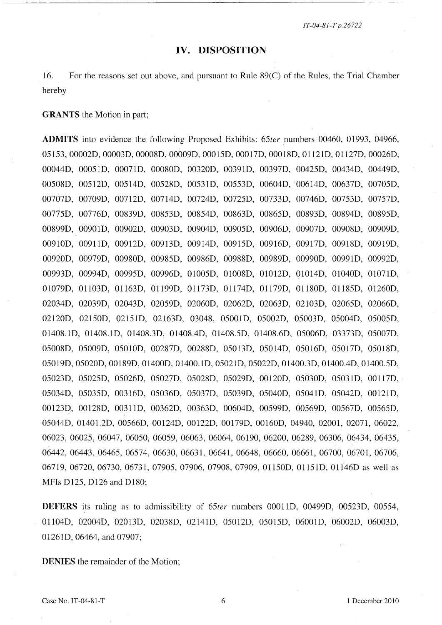*IT-04-8J-T p.26722* 

#### **IV. DISPOSITION**

16. For the reasons set out above, and pursuant to Rule 89(C) of the Rules, the Trial Chamber hereby

**GRANTS** the Motion in part;

**ADMITS** into evidence the following Proposed Exhibits: 65ter numbers 00460, 01993, 04966, 05153, 00002D, 00003D, 00008D, 00009D, 00015D, 00017D, 00018D, 01l21D, 01l27D, 00026D, 00044D, 0005lD, 00071D, 00080D, 00320D, 00391D, 00397D, 00425D, 00434D, 00449D, 00508D, 00512D, 00514D, 00528D, 00531D, 00553D, 00604D, '00614D, 00637D, 00705D, 00707D, 00709D, 00712D, 00714D, 00724D, 00725D, 00733D, 00746D, 00753D, 00757D, 00775D, 00776D, 00839D, 00853D, 00854D, 00863D, 00865D, 00893D, 00894D, 00895D, 00899D, 00901D, 00902D, 00903D, 00904D, 00905D, 00906D, 00907D, 00908D, 00909D, 00910D, 00911D, 00912D, 00913D, 00914D, 00915D, 00916D, 00917D, 00918D, 00919D, 00920D, 00979D, 00980D, 00985D, 00986D, 00988D, 00989D, 00990D, 00991D, 00992D, 00993D, 00994D, 00995D, 00996D, 01005D, 01008D, 01012D, 01014D, 01040D, 01071D, 01079D, Oll03D, 01l63D, 01l99D, 01l73D, 01l74D, 01l79D, 01l80D, 01l85D, 01260D, 02034D, 02039D, 02043D, 02059D, 02060D, 02062D, 02063D, 02103D, 02065D, 02066D, 02120D, 02150D, 02151D, 02163D, 03048, 05001D, 05002D, 05003D, 05004D, 05005D, 01408.1D, 01408.1D, 0l408.3D, 01408.4D, 0l408.5D, 0l408.6D, 05006D, 03373D, 05007D, 05008D, 05009D, 0501OD, 00287D, 00288D, 05013D, 05014D, 05016D, 05017D, 05018D, 05019D, 05020D, 00189D, 01400D, 01400. ID, 05021D, 05022D, 01400.3D, 01400.4D, 01400.5D, 05023D, 05025D, 05026D, 05027D, 05028D, 05029D, 00120D, 05030D, 05031D, 00117D, 05034D, 05035D, 00316D, 05036D, 05037D, 05039D, 05040D, 05041D, 05042D, 00121D, 00123D, 00128D, 00311D, 00362D, 00363D, 00604D, 00599D, 00569D, 00567D, 00565D, 05044D, 01401.2D, 00566D, 00124D, 00122D, 00179D, 00160D, 04940, 02001, 02071, 06022, 06023, 06025, 06047, 06050, 06059, 06063, 06064, 06190, 06200, 06289, 06306, 06434, 06435, 06442, 06443, 06465, 06574, 06630, 06631, 06641, 06648, 06660, 06661, 06700, 06701, 06706, 06719, 06720, 06730, 06731, 07905, 07906, 07908, 07909, 01150D, 01151D, 01146D as well as MFls D125, D126 and D180;

**DEFERS** its ruling as to admissibility of *65ter* numbers 00011D, 00499D, 00523D, 00554, 01104D, 02004D, 02013D, 02038D, 02141D, 05012D, 05015D, 06001D, 06002D, 06003D, 01261D, 06464, and 07907;

**DENIES** the remainder of the Motion;